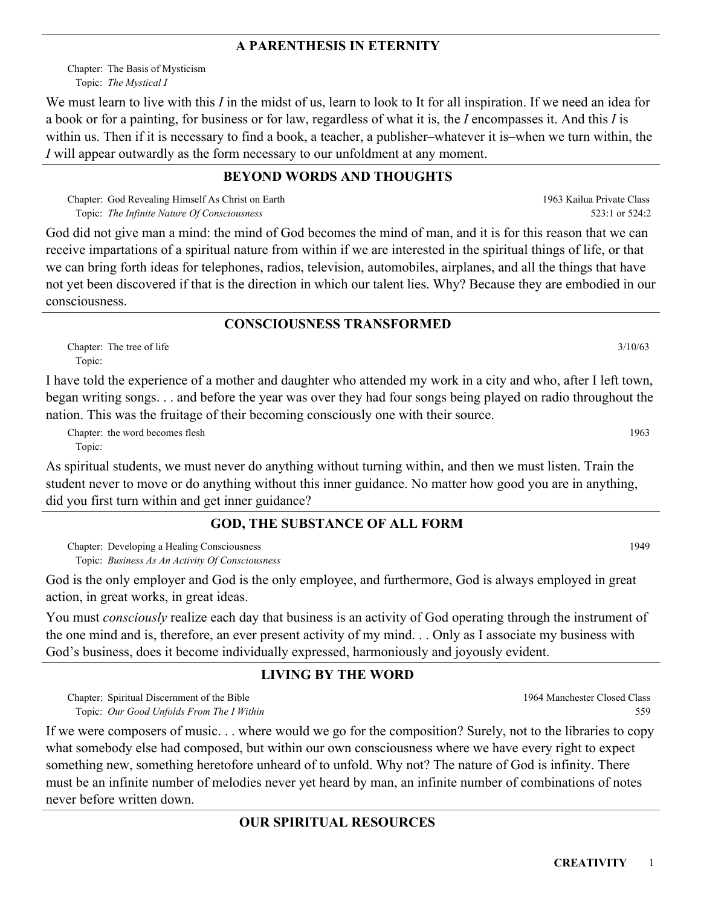#### **A PARENTHESIS IN ETERNITY**

Chapter: The Basis of Mysticism *The Mystical I* Topic:

We must learn to live with this *I* in the midst of us, learn to look to It for all inspiration. If we need an idea for a book or for a painting, for business or for law, regardless of what it is, the *I* encompasses it. And this *I* is within us. Then if it is necessary to find a book, a teacher, a publisher–whatever it is–when we turn within, the *I* will appear outwardly as the form necessary to our unfoldment at any moment.

### **BEYOND WORDS AND THOUGHTS**

Chapter: God Revealing Himself As Christ on Earth *The Infinite Nature Of Consciousness* Topic:

God did not give man a mind: the mind of God becomes the mind of man, and it is for this reason that we can receive impartations of a spiritual nature from within if we are interested in the spiritual things of life, or that we can bring forth ideas for telephones, radios, television, automobiles, airplanes, and all the things that have not yet been discovered if that is the direction in which our talent lies. Why? Because they are embodied in our consciousness.

#### **CONSCIOUSNESS TRANSFORMED**

Chapter: The tree of life 3/10/63 Topic:

I have told the experience of a mother and daughter who attended my work in a city and who, after I left town, began writing songs. . . and before the year was over they had four songs being played on radio throughout the nation. This was the fruitage of their becoming consciously one with their source.

Chapter: the word becomes flesh 1963 Topic:

As spiritual students, we must never do anything without turning within, and then we must listen. Train the student never to move or do anything without this inner guidance. No matter how good you are in anything, did you first turn within and get inner guidance?

#### **GOD, THE SUBSTANCE OF ALL FORM**

Chapter: Developing a Healing Consciousness and the constant of the constant of the constant of the constant of the constant of the constant of the constant of the constant of the constant of the constant of the constant o *Business As An Activity Of Consciousness* Topic:

God is the only employer and God is the only employee, and furthermore, God is always employed in great action, in great works, in great ideas.

You must *consciously* realize each day that business is an activity of God operating through the instrument of the one mind and is, therefore, an ever present activity of my mind. . . Only as I associate my business with God's business, does it become individually expressed, harmoniously and joyously evident.

# **LIVING BY THE WORD**

Chapter: Spiritual Discernment of the Bible *Our Good Unfolds From The I Within* Topic:

If we were composers of music. . . where would we go for the composition? Surely, not to the libraries to copy what somebody else had composed, but within our own consciousness where we have every right to expect something new, something heretofore unheard of to unfold. Why not? The nature of God is infinity. There must be an infinite number of melodies never yet heard by man, an infinite number of combinations of notes never before written down.

# **OUR SPIRITUAL RESOURCES**

1964 Manchester Closed Class 559

1963 Kailua Private Class

523:1 or 524:2